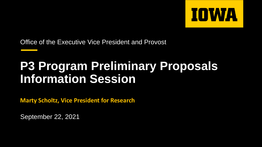

Office of the Executive Vice President and Provost

#### **P3 Program Preliminary Proposals Information Session**

**Marty Scholtz, Vice President for Research**

September 22, 2021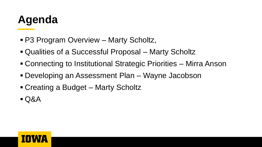### **Agenda**

- P3 Program Overview Marty Scholtz,
- Qualities of a Successful Proposal Marty Scholtz
- Connecting to Institutional Strategic Priorities Mirra Anson
- Developing an Assessment Plan Wayne Jacobson
- Creating a Budget Marty Scholtz
- $\blacksquare$  Q&A

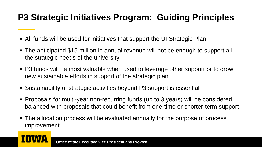#### **P3 Strategic Initiatives Program: Guiding Principles**

- All funds will be used for initiatives that support the UI Strategic Plan
- The anticipated \$15 million in annual revenue will not be enough to support all the strategic needs of the university
- P3 funds will be most valuable when used to leverage other support or to grow new sustainable efforts in support of the strategic plan
- Sustainability of strategic activities beyond P3 support is essential
- Proposals for multi-year non-recurring funds (up to 3 years) will be considered, balanced with proposals that could benefit from one-time or shorter-term support
- The allocation process will be evaluated annually for the purpose of process improvement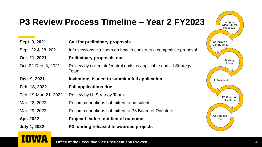## **P3 Review Process Timeline – Year 2 FY2023**

| Sept. 9, 2021         | <b>Call for preliminary proposals</b>                                    |
|-----------------------|--------------------------------------------------------------------------|
| Sept. 22 & 28, 2021   | Info sessions via zoom on how to construct a competitive proposal        |
| Oct. 21, 2021         | <b>Preliminary proposals due</b>                                         |
| Oct. 22-Dec. 8, 2021  | Review by collegiate/central units as applicable and UI Strategy<br>Team |
| Dec. 9, 2021          | Invitations issued to submit a full application                          |
| Feb. 18, 2022         | <b>Full applications due</b>                                             |
| Feb. 19-Mar. 21, 2022 | Review by UI Strategy Team                                               |
| Mar. 22, 2022         | Recommendations submitted to president                                   |
| Mar. 29, 2022         | Recommendations submitted to P3 Board of Directors                       |
| Apr. 2022             | <b>Project Leaders notified of outcome</b>                               |
| <b>July 1, 2022</b>   | P3 funding released to awarded projects                                  |



#### **Office of the Executive Vice President and Provost**

**IOWA**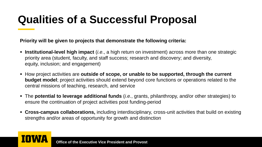### **Qualities of a Successful Proposal**

**Priority will be given to projects that demonstrate the following criteria:**

- **EXTE:** Institutional-level high impact (*i.e.*, a high return on investment) across more than one strategic priority area (student, faculty, and staff success; research and discovery; and diversity, equity, inclusion; and engagement)
- How project activities are **outside of scope, or unable to be supported, through the current budget model**; project activities should extend beyond core functions or operations related to the central missions of teaching, research, and service
- The **potential to leverage additional funds** (*i.e.*, grants, philanthropy, and/or other strategies) to ensure the continuation of project activities post funding-period
- **Cross-campus collaborations,** including interdisciplinary, cross-unit activities that build on existing strengths and/or areas of opportunity for growth and distinction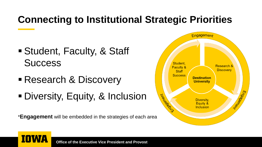#### **Connecting to Institutional Strategic Priorities**

- Student, Faculty, & Staff **Success**
- **Research & Discovery**
- **Diversity, Equity, & Inclusion**

\***Engagement** will be embedded in the strategies of each area

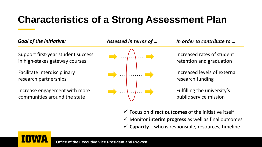#### **Characteristics of a Strong Assessment Plan**

Support first-year student success in high-stakes gateway courses

Facilitate interdisciplinary research partnerships

Increase engagement with more communities around the state



*Goal of the initiative: Assessed in terms of … In order to contribute to …*

Increased rates of student retention and graduation

Increased levels of external research funding

Fulfilling the university's public service mission

✓ Focus on **direct outcomes** of the initiative itself ✓ Monitor **interim progress** as well as final outcomes  $\checkmark$  **Capacity** – who is responsible, resources, timeline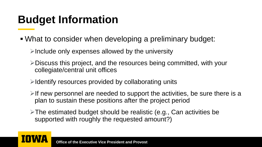#### **Budget Information**

- What to consider when developing a preliminary budget:
	- $\triangleright$ Include only expenses allowed by the university
	- ➢Discuss this project, and the resources being committed, with your collegiate/central unit offices
	- $\triangleright$ Identify resources provided by collaborating units
	- $\triangleright$  If new personnel are needed to support the activities, be sure there is a plan to sustain these positions after the project period
	- ➢The estimated budget should be realistic (e.g., Can activities be supported with roughly the requested amount?)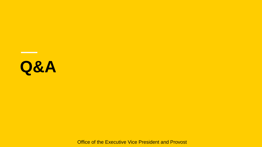# **Q&A**

Office of the Executive Vice President and Provost